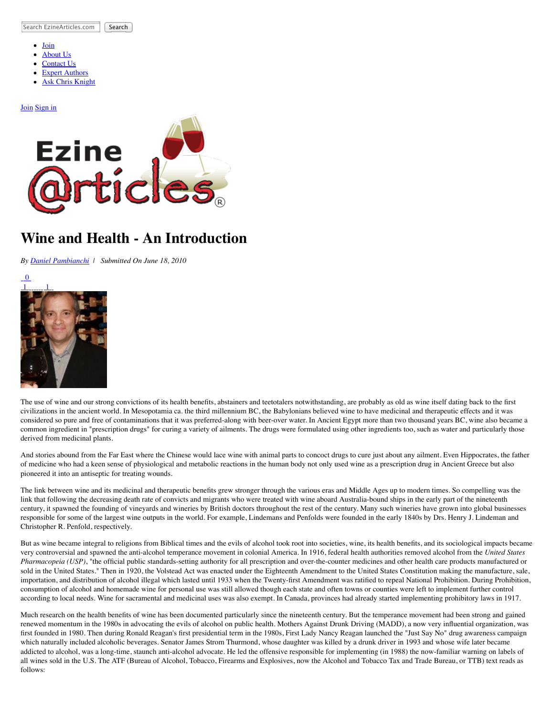Search EzineArticles.com Search

- $\bullet$ [Join](http://ezinearticles.com/submit/)
- [About Us](http://ezinearticles.com/about.html)
- [Contact Us](http://ezinearticles.com/contact.html)
- [Expert Authors](http://ezinearticles.com/?type=experts) [Ask Chris Knight](http://askchristopherknight.com/)
- 

## [Join](http://ezinearticles.com/submit/) [Sign in](http://my.ezinearticles.com/)



## **Wine and Health - An Introduction**

*By [Daniel Pambianchi](http://ezinearticles.com/?expert=Daniel_Pambianchi) | Submitted On June 18, 2010*



The use of wine and our strong convictions of its health benefits, abstainers and teetotalers notwithstanding, are probably as old as wine itself dating back to the first civilizations in the ancient world. In Mesopotamia ca. the third millennium BC, the Babylonians believed wine to have medicinal and therapeutic effects and it was considered so pure and free of contaminations that it was preferred-along with beer-over water. In Ancient Egypt more than two thousand years BC, wine also became a common ingredient in "prescription drugs" for curing a variety of ailments. The drugs were formulated using other ingredients too, such as water and particularly those derived from medicinal plants.

And stories abound from the Far East where the Chinese would lace wine with animal parts to concoct drugs to cure just about any ailment. Even Hippocrates, the father of medicine who had a keen sense of physiological and metabolic reactions in the human body not only used wine as a prescription drug in Ancient Greece but also pioneered it into an antiseptic for treating wounds.

The link between wine and its medicinal and therapeutic benefits grew stronger through the various eras and Middle Ages up to modern times. So compelling was the link that following the decreasing death rate of convicts and migrants who were treated with wine aboard Australia-bound ships in the early part of the nineteenth century, it spawned the founding of vineyards and wineries by British doctors throughout the rest of the century. Many such wineries have grown into global businesses responsible for some of the largest wine outputs in the world. For example, Lindemans and Penfolds were founded in the early 1840s by Drs. Henry J. Lindeman and Christopher R. Penfold, respectively.

But as wine became integral to religions from Biblical times and the evils of alcohol took root into societies, wine, its health benefits, and its sociological impacts became very controversial and spawned the anti-alcohol temperance movement in colonial America. In 1916, federal health authorities removed alcohol from the *United States Pharmacopeia (USP)*, "the official public standards-setting authority for all prescription and over-the-counter medicines and other health care products manufactured or sold in the United States." Then in 1920, the Volstead Act was enacted under the Eighteenth Amendment to the United States Constitution making the manufacture, sale, importation, and distribution of alcohol illegal which lasted until 1933 when the Twenty-first Amendment was ratified to repeal National Prohibition. During Prohibition, consumption of alcohol and homemade wine for personal use was still allowed though each state and often towns or counties were left to implement further control according to local needs. Wine for sacramental and medicinal uses was also exempt. In Canada, provinces had already started implementing prohibitory laws in 1917.

Much research on the health benefits of wine has been documented particularly since the nineteenth century. But the temperance movement had been strong and gained renewed momentum in the 1980s in advocating the evils of alcohol on public health. Mothers Against Drunk Driving (MADD), a now very influential organization, was first founded in 1980. Then during Ronald Reagan's first presidential term in the 1980s, First Lady Nancy Reagan launched the "Just Say No" drug awareness campaign which naturally included alcoholic beverages. Senator James Strom Thurmond, whose daughter was killed by a drunk driver in 1993 and whose wife later became addicted to alcohol, was a long-time, staunch anti-alcohol advocate. He led the offensive responsible for implementing (in 1988) the now-familiar warning on labels of all wines sold in the U.S. The ATF (Bureau of Alcohol, Tobacco, Firearms and Explosives, now the Alcohol and Tobacco Tax and Trade Bureau, or TTB) text reads as follows: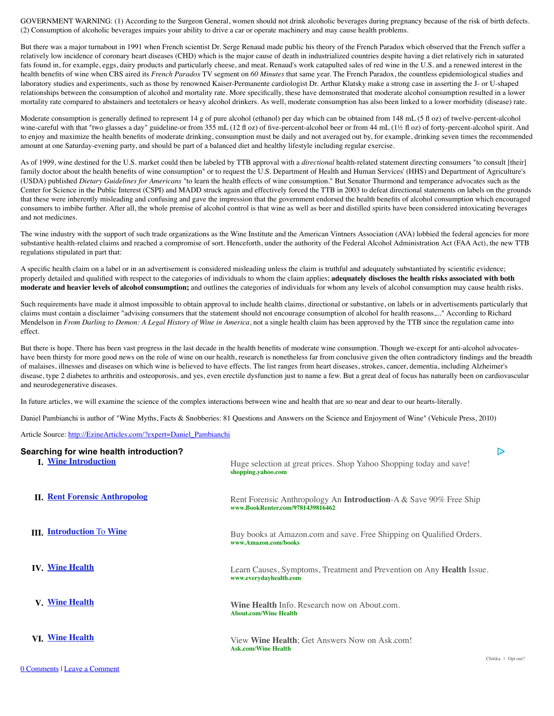GOVERNMENT WARNING: (1) According to the Surgeon General, women should not drink alcoholic beverages during pregnancy because of the risk of birth defects. (2) Consumption of alcoholic beverages impairs your ability to drive a car or operate machinery and may cause health problems.

But there was a major turnabout in 1991 when French scientist Dr. Serge Renaud made public his theory of the French Paradox which observed that the French suffer a relatively low incidence of coronary heart diseases (CHD) which is the major cause of death in industrialized countries despite having a diet relatively rich in saturated fats found in, for example, eggs, dairy products and particularly cheese, and meat. Renaud's work catapulted sales of red wine in the U.S. and a renewed interest in the health benefits of wine when CBS aired its *French Paradox* TV segment on *60 Minutes* that same year. The French Paradox, the countless epidemiological studies and laboratory studies and experiments, such as those by renowned Kaiser-Permanente cardiologist Dr. Arthur Klatsky make a strong case in asserting the J- or U-shaped relationships between the consumption of alcohol and mortality rate. More specifically, these have demonstrated that moderate alcohol consumption resulted in a lower mortality rate compared to abstainers and teetotalers or heavy alcohol drinkers. As well, moderate consumption has also been linked to a lower morbidity (disease) rate.

Moderate consumption is generally defined to represent 14 g of pure alcohol (ethanol) per day which can be obtained from 148 mL (5 fl oz) of twelve-percent-alcohol wine-careful with that "two glasses a day" guideline-or from 355 mL (12 fl oz) of five-percent-alcohol beer or from 44 mL (1½ fl oz) of forty-percent-alcohol spirit. And to enjoy and maximize the health benefits of moderate drinking, consumption must be daily and not averaged out by, for example, drinking seven times the recommended amount at one Saturday-evening party, and should be part of a balanced diet and healthy lifestyle including regular exercise.

As of 1999, wine destined for the U.S. market could then be labeled by TTB approval with a *directional* health-related statement directing consumers "to consult [their] family doctor about the health benefits of wine consumption" or to request the U.S. Department of Health and Human Services' (HHS) and Department of Agriculture's (USDA) published *Dietary Guidelines for Americans* "to learn the health effects of wine consumption." But Senator Thurmond and temperance advocates such as the Center for Science in the Public Interest (CSPI) and MADD struck again and effectively forced the TTB in 2003 to defeat directional statements on labels on the grounds that these were inherently misleading and confusing and gave the impression that the government endorsed the health benefits of alcohol consumption which encouraged consumers to imbibe further. After all, the whole premise of alcohol control is that wine as well as beer and distilled spirits have been considered intoxicating beverages and not medicines.

The wine industry with the support of such trade organizations as the Wine Institute and the American Vintners Association (AVA) lobbied the federal agencies for more substantive health-related claims and reached a compromise of sort. Henceforth, under the authority of the Federal Alcohol Administration Act (FAA Act), the new TTB regulations stipulated in part that:

A specific health claim on a label or in an advertisement is considered misleading unless the claim is truthful and adequately substantiated by scientific evidence; properly detailed and qualified with respect to the categories of individuals to whom the claim applies; **adequately discloses the health risks associated with both moderate and heavier levels of alcohol consumption;** and outlines the categories of individuals for whom any levels of alcohol consumption may cause health risks.

Such requirements have made it almost impossible to obtain approval to include health claims, directional or substantive, on labels or in advertisements particularly that claims must contain a disclaimer "advising consumers that the statement should not encourage consumption of alcohol for health reasons,..." According to Richard Mendelson in *From Darling to Demon: A Legal History of Wine in America*, not a single health claim has been approved by the TTB since the regulation came into effect.

But there is hope. There has been vast progress in the last decade in the health benefits of moderate wine consumption. Though we-except for anti-alcohol advocateshave been thirsty for more good news on the role of wine on our health, research is nonetheless far from conclusive given the often contradictory findings and the breadth of malaises, illnesses and diseases on which wine is believed to have effects. The list ranges from heart diseases, strokes, cancer, dementia, including Alzheimer's disease, type 2 diabetes to arthritis and osteoporosis, and yes, even erectile dysfunction just to name a few. But a great deal of focus has naturally been on cardiovascular and neurodegenerative diseases.

In future articles, we will examine the science of the complex interactions between wine and health that are so near and dear to our hearts-literally.

Daniel Pambianchi is author of "Wine Myths, Facts & Snobberies: 81 Questions and Answers on the Science and Enjoyment of Wine" (Vehicule Press, 2010)

Article Source: [http://EzineArticles.com/?expert=Daniel\\_Pambianchi](http://ezinearticles.com/?expert=Daniel_Pambianchi)

| Searching for wine health introduction?<br><b>I.</b> Wine Introduction | Huge selection at great prices. Shop Yahoo Shopping today and save!<br>shopping.yahoo.com                     | D             |
|------------------------------------------------------------------------|---------------------------------------------------------------------------------------------------------------|---------------|
| <b>II. Rent Forensic Anthropolog</b>                                   | Rent Forensic Anthropology An <b>Introduction</b> -A & Save 90% Free Ship<br>www.BookRenter.com/9781439816462 |               |
| <b>III.</b> Introduction To Wine                                       | Buy books at Amazon.com and save. Free Shipping on Qualified Orders.<br>www.Amazon.com/books                  |               |
| <b>IV.</b> Wine Health                                                 | Learn Causes, Symptoms, Treatment and Prevention on Any <b>Health</b> Issue.<br>www.everydayhealth.com        |               |
| <b>V.</b> Wine Health                                                  | <b>Wine Health</b> Info. Research now on About.com.<br><b>About.com/Wine Health</b>                           |               |
| VI. Wine Health                                                        | View <b>Wine Health</b> ; Get Answers Now on Ask.com!<br><b>Ask.com/Wine Health</b>                           | $C$ laitiltea |

[0 Comments](http://ezinearticles.com/comment.php?Wine-and-Health---An-Introduction&id=4506372) | [Leave a Comment](http://ezinearticles.com/comment.php?Wine-and-Health---An-Introduction&id=4506372)